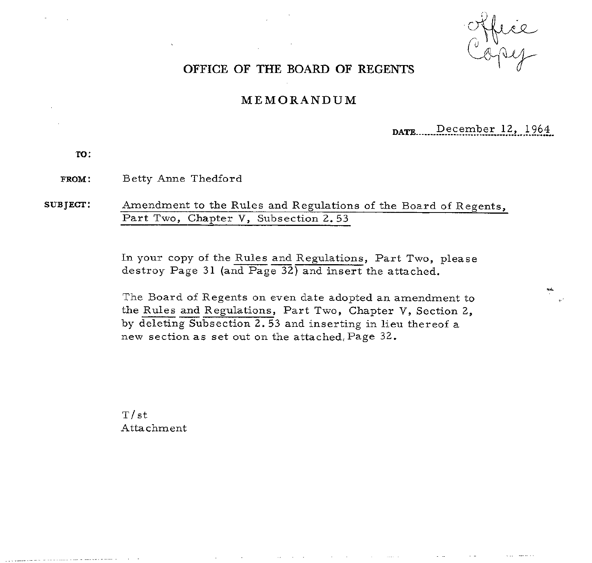Casu

# OFFICE OF THE BOARD OF REGENTS

## **MEMORANDUM**

# **D**ecember 12, 1964

**TO:** 

FROM: Betty Anne Thedford

**SUBJECT:** Amendment to the Rules and Regulations of the Board of Regents, Part Two, Chapter V, Subsection 2.53

Amendment to the Rules and Regulations of the Board of Rege<br>Part Two, Chapter V, Subsection 2.53<br>In your copy of the Rules and Regulations, Part Two, please<br>destroy Page 31 (and Page 32) and insert the attached.

The Board of Regents on even date adopted an amendment to In your copy of the <u>Kules and Regulations</u>, Part Two, please<br>destroy Page 31 (and Page 32) and insert the attached.<br>The Board of Regents on even date adopted an amendment to<br>the <u>Rules and Regulations</u>, Part Two, Chapter by deleting Subsection 2. 53 and inserting in lieu thereof a new section as set out on the attached, Page 32.

T/st Attachment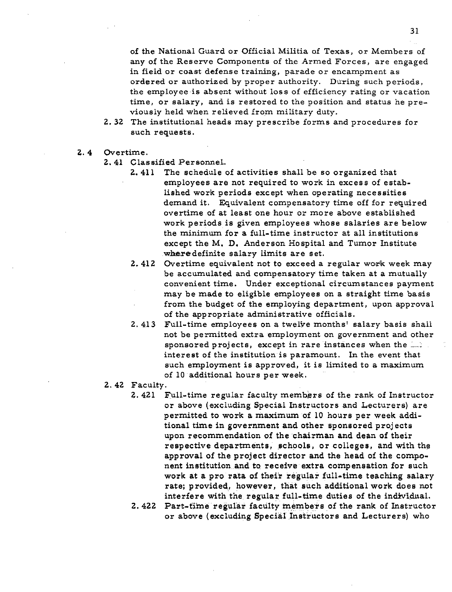of the National Guard or Official Militia of Texas, or Members of any of the Reserve Components of the Armed Forces, are engaged in field or coast defense training, parade or encampment as ordered or authorized by proper authority. During such periods, the employee is absent without loss of efficiency rating or vacation time, or salary, and is restored to the position and status he previously held when relieved from military duty.

- 2.32 The institutional heads may prescribe forms and procedures for such requests.
- 2. 4 Overtime.
	- 2. 41 Classified PersonneL.
		- 2.411 The schedule of activities shall be so organized that employees are not required to work in excess of established work periods except when operating necessities demand it. Equivalent compensatory time off for required overtime of at least one hour or more above established work periods is given employees whose salaries are below the minimum for a full-time instructor at all institutions except the M. D. Anderson Hospital and Tumor Institute wheredefinite salary limits are set.
		- 2.412 Overtime equivalent not to exceed a regular wovk week may be accumulated and compensatory time taken at a mutually convenient time. Under exceptional circumstances payment may be made to eligible employees on a straight time basis from the budget of the employing department, upon approval of the appropriate administrative officials.
		- 2. 413 Full-time employees on a twelve months' salary basis shall not be permitted extra employment on government and other sponsored projects, except in rare instances when the  $\ldots$ . interest of the institution is paramount. In the event that such employment is approved, it is limited to a maximum of 10 additional hours per week.
	- 2. 42 Faculty.
		- 2. 421 Full-time regular faculty members of the rank of Instructor or above (excluding Special Instructors and Lecturers) are permitted to work a maximum of 10 hours per week additional time in government and other sponsored projects upon recommendation of the chairman and dean of their respective departments, schools, or colleges, and with the approval of the project director and the head of the component institution and to receive extra compensation for such work at a pro rata of their regular full-time teaching salary rate; provided, however, that such additional work does not interfere with the regular full-time duties of the individual.
		- 2.422 Part-time regular faculty members of the rank of Instructor or above (excluding Special Instructors and Lecturers) who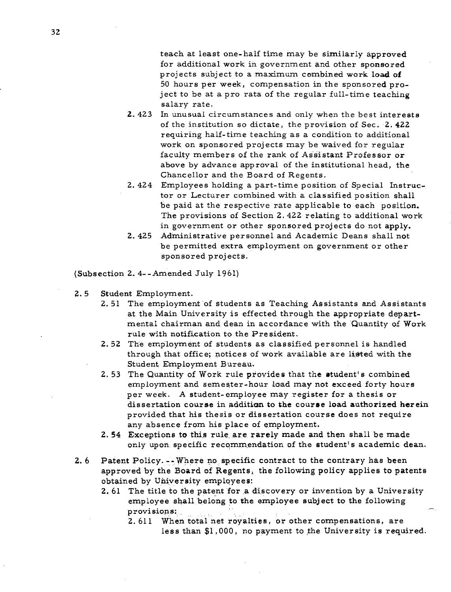teach at least one-half time may be similarly approved for additional work in government and other sponsored projects subject to a maximum combined work load of 50 hours per week, compensation in the sponsored project to be at a pro rata of the regular full-time teaching salary rate.

- 2.423 In unusual circumstances and only when the best interests of the institution so dictate, the provision of Sec. 2. **422**  requiring half-time teaching as a condition to additional work on sponsored projects may be waived for regular faculty members of the rank of Assistant Professor or above by advance approval of the institutional head, the Chancellor and the Board of Regents.
- **2.** 424 Employees holding a part-time position of Special Instructor or Lecturer combined with a classified position shall be paid at the respective rate applicable to each position. The provisions of Section 2.422 relating to additional work in government or other sponsored projects do not apply.
- **2.** 425 Administrative personnel and Academic Deans shall not be permitted extra employment on government or other sponsored projects.

(Subsection **2. 4-** -Amended July 1961)

- 2. 5 Student Employment.
	- 2. 51 The employment of students as Teaching Assistants and Assistants at the Main University is effected through the appropriate departmental chairman and dean in accordance with the Quantity of Work rule with notification to the President.
	- 2.52 The employment of students as classified personnel is handled through that office; notices of work available are listed with the Student Employment Bureau.
	- **2.** 53 The Quantity of Work rule provides that the student's combined employment and semester-hour load may not exceed forty hours per week. A student-employee may register for a thesis or dissertation course in addition to the course load authorized herein provided that his thesis or dissertation course does not require any absence from his place of employment.
	- 2. **54** Exceptions to this rule are rarely made and then shall be made only upon specific recommendation of the student's academic dean.
- 2. 6 Patent Policy. --Where no specific contract to the contrary has been approved by the Board of Regents, the following policy applies to patents obtained by University employees:
	- 2,61 The title to the patent for a discovery or invention by a University employee shall belong to the employee subject to the following provisions:
		- 2. 611 When total net royalties, or other compensations, are less than \$1,000, no payment to the University is required.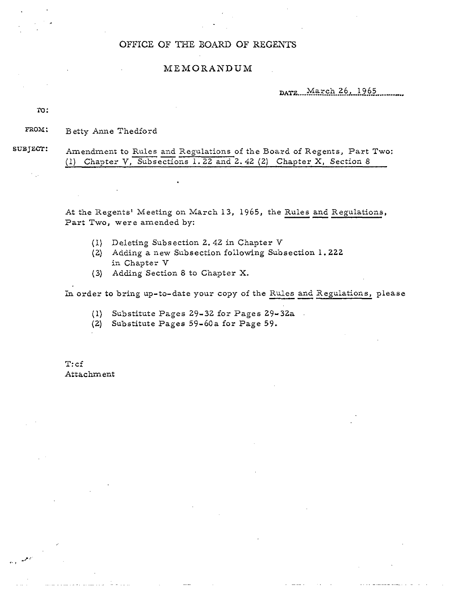## OFFICE OF THE BOARD OF REGENTS

# MEMORANDUM

**DATE** March 26, 1965

<sup>m</sup>:

**FROM:** Betty Anne Thedford

susject:

Amendment to Rules and Regulations of the Board of Regents, Part Two: (1) Chapter V, Subsections 1.22 and 2.42 (2) Chapter X, Section 8

At the Regents' Meeting on March 13, 1965, the Rules and Regulations, Part Two, were amended by:

- (I) Deleting Subsection 2.42 in Chapter **V**
- (2) Adding a new Subsection following Subsection 1.222 in Chapter V
- **(3)** Adding Section 8 to Chapter X.

In order to bring up-to-date your copy of the Rules and Regulations, please<br>(1) Substitute Pages 29-32 for Pages 29-32a

- Substitute Pages 29-32 for Pages 29-32a
- (2) Substitute Pages 59-60a for Page 59.

T:cf Attachment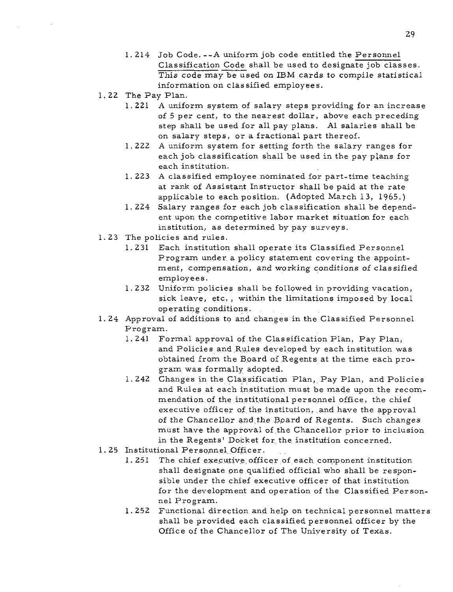- 1. 214 Job Code. --A uniform job code entitled the Personnel Classification Code shall be used to designate job classes. This code may be used on IBM cards to compile statistical information on classified employees.
- 1.22 The Pay Plan.
	- 1.221 A uniform system of salary steps providing for an increase of 5 per cent, to the nearest dollar, above each preceding step shall be used for all pay plans. A1 salaries shall be on salary steps, or a fractional part thereof.
	- 1. 222 A uniform system for setting forth the salary ranges for each job classification shall be used in the pay plans for each institution.
	- 1. 223 A classified employee nominated for part-time teaching at rank of Assistant Instructor shall be paid at the rate applicable to each position. (Adopted March 13, 1965.)
	- 1.224 Salary ranges for each job classification shall be dependent upon the competitive labor market situation for each mstitution, as determined by pay surveys.
- 1. 23 The policies and rules.
	- 1.231 Each institution shall operate its Classified Personnel Program under a policy statement covering the appointment, compensation, and working conditions of classified employees.
	- 1.232 Uniform policies shall be followed in providing vacation, sick leave, etc, , within the limitations imposed by local operating conditions.
- 1.24 Approval of additions to and changes in the Classified Personnel Program.
	- 1. 241 Formal approval of the Classification Plan, Pay Plan, and Policies and Rules developed by each institution was obtained from the Board of Regents at the time each program was formally adopted.
	- 1. 242 Changes in the Classification Plan, Pay Plan, and Policies and Rules at each institution must be made upon the recommendation of the institutional personnel office, the chief executive officer of the institution, and have the approval of the Chancellor and the Board of Regents. Such changes must have the approval of the Chancellor prior to inclusion in the Regents' Docket for the institution concerned.
- 1.25 Institutional Personnel Officer.
	- 1.251 The chief executive officer of each component institution shall designate one qualified official who shall be responsible under the chief executive officer of that institution for the development and operation of the Classified Personnel Program.
	- 1.252 Functional direction and help on technical personnel matters shall be provided each classified personnel officer by the Office of the Chancellor of The University of Texas.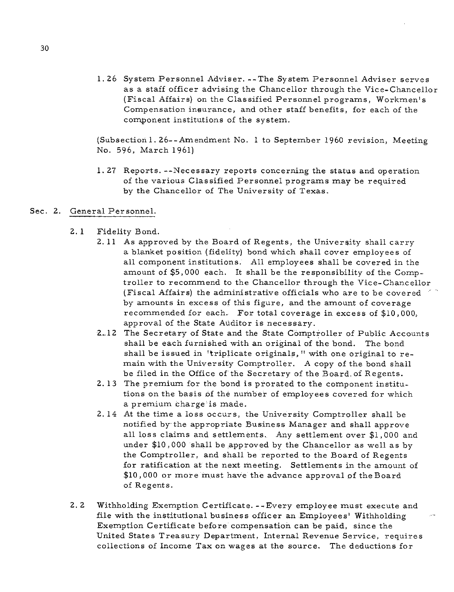1.26 System Personnel Adviser. --The System Personnel Adviser serves as a staff officer advising the Chancellor through the Vice-chancellor (Fiscal Affairs) on the Classified Personnel programs, Workmen's Compensation ineurance, and other staff benefits, for each of the component institutions of the system.

(Subsection 1. 26--Amendment No. 1 to September 1960 revision, Meeting No. 596, March 1961)

- 1.27 Reports. --Necessary reports concerning the status and operation of the various Classified Personnel programs may be required by the Chancellor of The University of Texas.
- Sec. 2. General Personnel.
	- 2. 1 Fidelity Bond.
		- 2.11 As approved by the Board of Regents, the University shall carry a blanket position (fidelity) bond which shall cover employees of all component institutions. All employees shall be covered in the amount of \$5,000 each. It shall be the responsibility of the Comptroller to recommend to the Chancellor through the Vice-chancellor (Fiscal Affairs) the administrative officials who are to be covered by amounts in excess of this figure, and the amount of coverage recommended for each. For total coverage in excess of \$10,000, approval of the State Auditor is necessary.
		- 2..12 The Secretary of State and the State Comptroller of Public Accounts shall be each furnished with an original of the bond. The bond shall be issued in 'triplicate originals, " with one original to remain with the University Comptroller. A copy of the bond shall be filed in the Office of the Secretary of the Board. of Regents.
		- 2.13 The premium for the bond is prorated to the component institutions on the basis df the number of employees covered for which a premium charge'is made.
		- 2. 14 At the time a loss occurs, the University Comptroller shall be notified bythe appropriate Business Manager and shall approve all loss claims and settlements. Any settlement over \$1,000 and under \$10,000 shall be approved by the Chancellor as well as by the Comptroller, and shall be reported to the Board of Regents for ratification at the next meeting. Settlements in the amount of \$10,000 or more must have the advance approval of the Board of Regents.
	- 2. 2 Withholding Exemption Certificate. --Every employee must execute and file with the institutional business officer an Employees' Withholding Exemption Certificate before compensation can be paid, since the United States Treasury Department, Internal Revenue Service, requires collections of Income Tax on wages at the source. The deductions for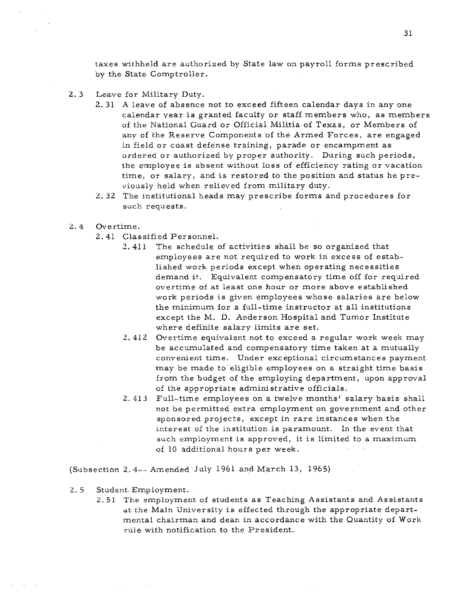taxes withheld are authorized by State law on payroll forms prescribed by the State Comptroller.

- **2. 3** Leave for Military Duty.
	- **2.31** A leave of absence not to exceed fifteen calendar days in any one calendar year is granted faculty or staff members who, as members of the National Guard or Official Militia of Texas, or Members of any of the Reserve Components of the Armed Forces, are engaged in field or coast defense training, parade or encampment as ordered or authorized by proper authority. During such periods, the employee is absent without loss of efficiency rating or vacation time, or salary, and is restored to the position and status he previously held when, relieved from military duty.
	- 2.32 The institutional heads may prescribe forms and procedures for such requests.
- 2. 4 Overtime.
	- 2.41 Classified Personnel.
		- $2.411$ The schedule of activities shall be so organized that employees are not required to work in excess of established work. periods except when operating necessities demand it. Equivalent compensatory time off for required overtime of at least one hour or more above established work periods is given employees whose salaries are below the minimum for a full-time instructor at all institutions except the M. D. Anderson Hospital and Tumor Institute where definite salary limits are set.
		- Overtime equivalent not to exceed a regular work week may  $2.412$ be accumulated and compensatory time taken at a mutually convenient time. Under exceptional circumstances payment may be made to eligible employees on a straight time basis from the budget of the employing department, upon approval of the appropriate administrative officials.
		- 2.413 Full-time employees on a twelve months' salary basis shall not be permitted extra employment on government and other sponsored projects, except in rare instances when the interest of the institution is paramount. In the event that such employment is approved, it is limited to a maximum of 10 additional hours per week.

(Subsection *2.* 4.. - Amended July 1961 and March **13,** 1965)

- *2.* 5 Student. Employment.
	- 2.51 The employment of students as Teaching Assistants and Assistants at the Main University is effected through the appropriate departmental chairman and dean. in accordance with the Quantity of Work rule with notification to the President.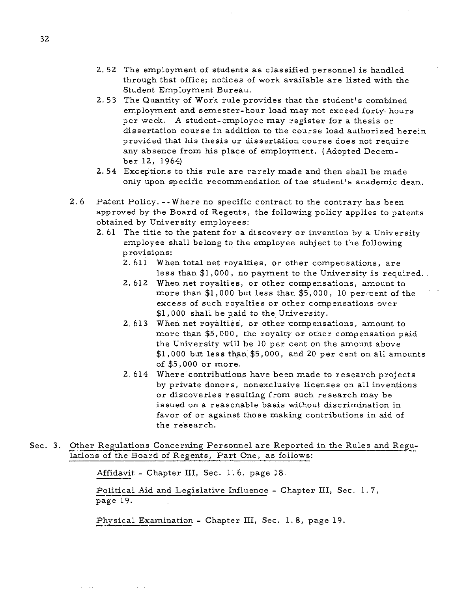- 2. 52 The employment of students as classified personnel is handled through that office; notices of work available are listed with the Student Employment Bureau.
- 2.53 The Quantity of Work rule provides that the student's combined employment and semester-hour load may not exceed forty. hours per week. A student-employee may register for a thesis or dissertation course in addition to the course load authorized herein provided that his thesis or dissertation course does not require any absence from his place of employment. (Adopted December 12, 1964)
- 2.54 Exceptions to this rule are rarely made and then shall be made only upon specific recommendation of the student's academic dean.
- 2. *6* Patent Policy. --Where no specific contract to the contrary has been approved by the Board of Regents, the following policy applies to patents obtained by University employees:
	- 2. 61 The title to the patent for a discovery or invention by a University employee shall belong to the employee subject to the following provisions:
		- 2. 611 When total net royalties, or other compensations, are less than \$1,000, no payment to the University is required.
		- 2. 612 When net royalties, or other compensations, amount to more than \$1,000 but less than \$5,000, 10 per cent of the excess of such royalties or other compensations over \$1,000 shall be paid to the University.
		- 2.61 **3** When net royalties, or other compensations, amount to more than \$5,000, the royalty or other compensation paid the University will be 10 per cent on the amount above \$1,000 but less than \$5,000, and 20 per cent on all amounts of \$5,000 or more.
		- 2.614 Where contributions have been made to research projects by private donors, nonexclusive licenses on all inventions or discoveries resulting from such research may be issued on a reasonable basis without discrimination in favor of or against those making contributions in aid of the research.
- Sec. **3.** Other Regulations Concerning Personnel are Reported in the Rules and Regulations of the Board of Regents, Part One, as follows:

Affidavit - Chapter III, Sec. 1.6, page 18.

Political Aid and Legislative Influence - Chapter 111, Sec. 1.7, page 19.

Physical Examination - Chapter 111, Sec. 1. 8, page 19.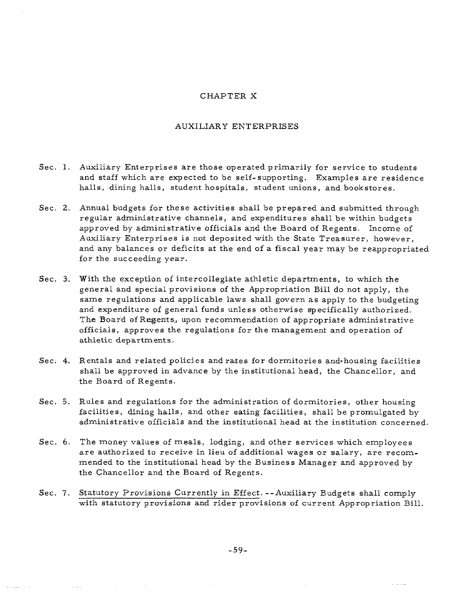## CHAPTER X

#### AUXILIARY ENTERPRISES

- Sec. 1. Auxiliary Enterprises are those operated primarily for service to students and staff which are expected to be self-supporting. Examples are residence halls, dining halls, student hospitals, student unions, and bookstores.
- Sec. 2. Annual budgets for these activities shall be prepared and submitted through regular administrative channels, and expenditures shall be within budgets approved by administrative officials and the Board of Regents. Income of Auxiliary Enterprises is not deposited with the State Treasurer, however, and any balances or deficits at the end of a fiscal year may be reappropriated for the succeeding year.
- Sec. **3.** With the exception of intercollegiate athletic departments, to which the general and special provisions of the Appropriation Bill do not apply, the same regulations and applicable laws shall govern as apply to the budgeting and expenditure of general funds unless otherwise specifically authorized. The Board of Regents., upon recommendation of appropriate administrative officials, approves the regulations for the management and operation of athletic departments.
- Sec. 4. Rentals and related policies and rates for dormitories and-housing facilities shall be approved in advance by the institutional head, the Chancellor, and the Board of Regents.
- Sec. *5.* Rules and regulations for the administration of dormitories, other housing facilities, dining halls, and other eating facilities, shall be promulgated by administrative officials and the institutional head at the institution concerned.
- Sec. 6. The money values of meals, lodging, and other services which employees are authorized to receive in lieu of additional wages or salary, are recommended to the institutional head by the Business Manager and approved by the Chancellor and the Board of Regents.
- Sec. 7. Statutory Provisions Currently in Effect. --Auxiliary Budgets shall comply with statutory provisions and rider provisions of current Appropriation Bill.

 $\sim 10$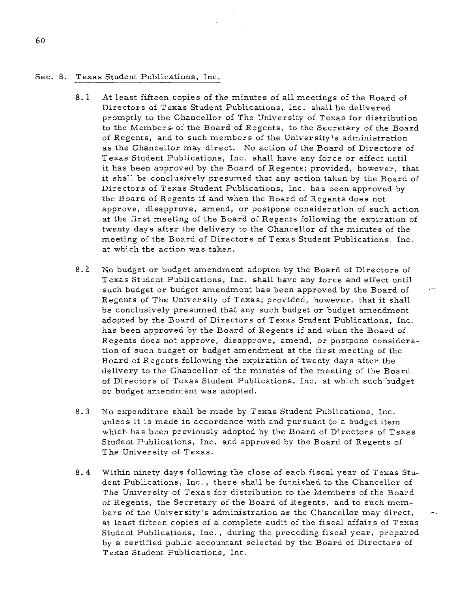### Sec. 8. Texas Student Publications, Inc.

- 8. 1 At least fifteen copies of the minutes of all meetings of the Board of Directors of Texas Student Publications, Inc. shall be delivered promptly to the Chancellor of The University of Texas for distribution to the Members of the Board of Regents, to the Secretary of the Board of Regents, and to such members of the University's administration as the Chancellor may direct. No action of the Board of Directors of Texas Student Publications, Inc. shall have any force or effect until it has been approved by the Board of Regents; provided, however, that it shall be conclusively presumed that any action taken by the Board of Directors of Texas Student Publications, Inc. has been approved by the Board of Regents if and when the Board of Regents does not approve, disapprove, amend, or postpone consideration of such action at the first meeting of the Board of Regents following the expiration of twenty days after the delivery to the Chancellor of the minutes of the meeting of the Board of Directors of Texas Student Publications, Inc. at which the action was taken.
- 8.2 No budget or budget amendment adopted by the Board of Directors of Texas Student Publications, Inc. shall have any force and effect until such budget or budget amendment has been approved by the Board of Regents of The University of Texas; provided, however, that it shall be conclusively presumed that any such budget or budget amendment adopted by the Board of Directors of Texas Student Publications, Inc. has been approved by the Board of Regents if and when the Board of Regents does not approve, disapprove, amend, or postpone consideration of such budget or budget amendment at the first meeting of the Board of Regents following the expiration of twenty days after the delivery to the Chancellor of the minutes of the meeting of the Board of Directors of Texas Student Publications, Inc. at which such budget or budget amendment was adopted.
- 8.3 No expenditure shall be made by Texas Student Publications, Inc. unless it is made in accordance with and pursuant to a budget item which has been previously adopted by the Board of Directors of Texas Student Publications, Inc. and approved by the Board of Regents of The University of Texas.
- 8.4 Within ninety days following the close of each fiscal year of Texas Student Publications, Inc., there shall be furnished to the Chancellor of The University of Texas for distribution to the Members of the Board of Regents, the Secretary of the Board of Regents, and to such members of the University's administration as the Chancellor may direct, at least firteen copies of a complete audit of the fiscal affairs of Texas Student Publications, Inc., during the preceding fiscal year, prepared by a certified public accountant selected by the Board of Directors of Texas Student Publications, Inc.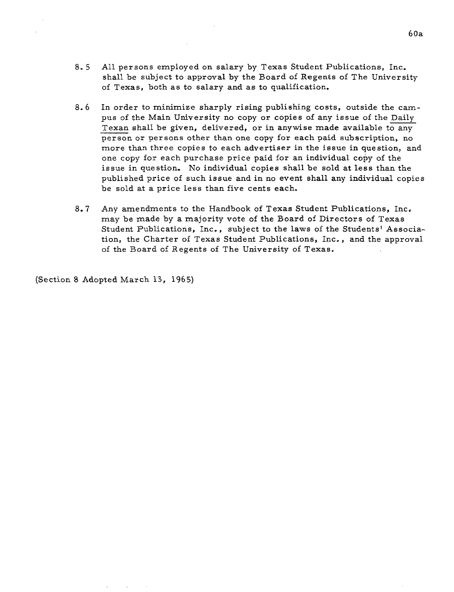- 8. 5 All persons employed on salary by Texas Student Publications, Inc. shall be subject to approval by the Board of Regents of The University of Texas, both as to salary and as to qualification.
- 8.6 In order to minimize sharply rising publishing costs, outside the cam-All persons employed on salary by Texas Student Publications, Inc.<br>shall be subject to approval by the Board of Regents of The University<br>of Texas, both as to salary and as to qualification.<br>In order to minimize sharply ri Texan shall be given, delivered, or in anywise made available to any person or persons other than one copy for each paid subscription, no more than three copies to each advertiser in the issue in question, and one copy for each purchase price paid for an individual copy of the issue in question. No individual copies shall be sold at less than the published price of such issue and in no event shall any individual copies be sold at a price less than five cents each.
- 8.7 Any amendments to the Handbook of Texas Student Publications. Inc, may be made by a majority vote of the Board of Directors of Texas Student Publications, Inc., subject to the laws of the Students' Association, the Charter of Texas Student Publications, Inc., and the approval of the Board of Regents of The University of Texas.

(Section 8 Adopted March **13,** 1965)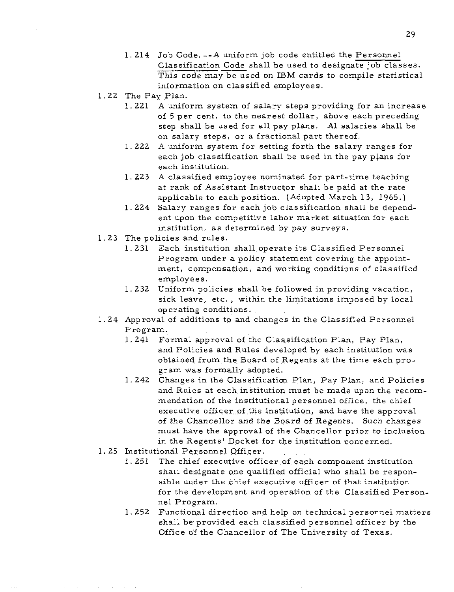- 1. 214 Job Code. --A uniform job code entitled the Personnel Classification Code shall be used to designate job classes. This code may be used on IBM cards to compile statistical information on classified employees.
- 1.22 The Pay Plan.
	- 1. 221 **A** uniform system of salary steps providing for an increase of 5 per cent, to the nearest dollar, above each preceding step shall be used for all pay plans. A1 salaries shall be on salary steps, or a fractional part thereof.
	- 1. 222 A uniform system for setting forth the salary ranges for each job classification shall be used in the pay plans for each institution.
	- 1. 223 A classified employee nominated for part-time teaching at rank of Assistant Instructor shall be paid at the rate applicable to each position. (Adopted March 13, 1965.)
	- 1. 224 Salary ranges for each job classification shall be dependent upon the competitive labor market situation for each institution, as determined by pay surveys.
- 1. 23 The policies and rules.
	- 1. 231 Each institution shall operate its Classified Personnel Program under a policy statement covering the appointment, compensation, and working conditions of classified employees.
	- 1. 232 Uniform policies shall be followed in providing vacation, sick leave, etc. , within the limitations imposed by local operating conditions.
- 1.24 Approval of additions to and changes in the Classified Personnel Program.
	- 1.241 Formal approval of 'the Classification Plan, Pay Plan, and Policies and Rules developed by each institution was obtained from the Board of Regents at the time each program was formally adopted.
	- 1. 242 Changes in the Classification Plan, Pay Plan, and Policies and Rules at each institution must be made upon the recommendation of the institutional personnel office, the chief executive officer of the institution, and have the approval of the Chancellor and the Board of Regents. Such changes must have the approval of the Chancellor prior to inclusion in the Regents' Docket for the institution concerned.
- 1.25 Institutional Personnel Officer.
	- 1.251 The chief executive officer of each component institution shall designate one qualified official who shall be responsible under the chief executive officer of that institution for the development and operation of the Classified Personnel Program.
	- 1.252 Functional direction and help on technical personnel matters shall be provided each classified personnel officer by the Office of the Chancellor of The University of Texas.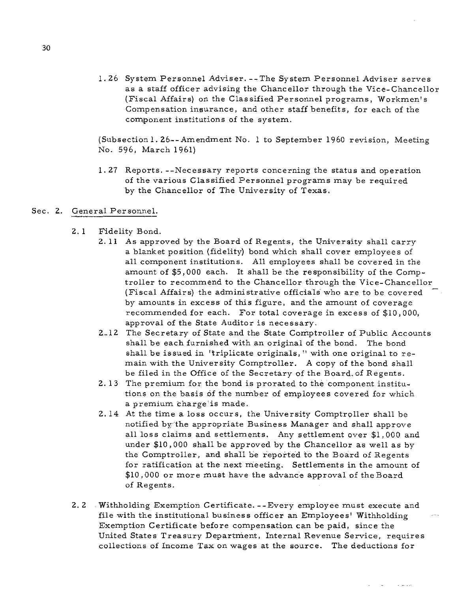1.26 System Personnel Adviser. --The System Personnel Adviser serves as a staff officer advising the Chancellor through the Vice-chancellor (Fiscal Affairs) on the Classified Personnel programs, Workmen's Compensation ineurance, and other staff benefits, for each of the component institutions of the system.

(Subsection 1. 26--Amendment No. 1 to September 1960 revision, Meeting No. 596, March 1961)

- 1. 27 Reports. --Necessary reports concerning the status and operation of the various Classified Personnel programs may be required by the Chancellor of The University of Texas.
- Sec. 2. General Personnel.
	- 2. 1 Fidelity Bond.
		- 2.11 As approved by the Board of Regents, the University shall carry a blanket position (fidelity) bond which shall cover employees of all component institutions. All employees shall be covered in the amount of \$5,000 each. It shall be the responsibility of the Comptroller to recommend to the Chancellor through the Vice-Chancellor (Fiscal Affairs) the administrative officials who are to be covered by amounts in excess of this figure, and the amount of coverage recommended for each. For total coverage in excess of \$10,000, approval of the State Auditor is necessary.
		- 2..12 The Secretary of State and the State Comptroller of Public Accounts shall be each furnished with an original of the bond. The bond shall be issued in 'triplicate originals, " with one original to remain with the University Comptroller. A copy of the bond shall be filed in the Office of the Secretary of the Board.of Regents.
		- 2.13 The premium for the bond is prorated to the component institutions on the basis of the number of employees covered for which a premium charge is made.
		- 2.14 At the time a loss occurs, the University Comptroller shall be notified by; the appropriate Business Manager and shall approve all loss claims and settlements. Any settlement over \$1,000 and under \$10,000 shall be approved by the Chancellor as well as by the Comptroller, and shall be reported to the Board of Regents for ratification at the next meeting. Settlements in the amount of \$10,000 or more must have the advance approval of the Board of Regents.
	- 2. 2 Withholding Exemption Certificate. --Every employee must execute and file with the institutional business officer an Employees' Withholding Exemption Certificate before compensation can be paid, since the United States Treasury Department, Internal Revenue Service, requires collections of Income Tax on wages at the source. The deductions for

 $\sim$  100  $\sim$  100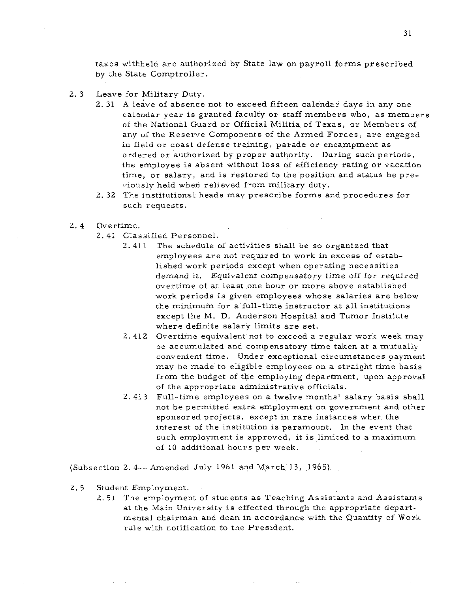taxes withheld are authorized by State law on payroll forms prescribed by the State Comptroller.

- 2. **3** Leave for Military Duty.
	- 2.31 A leave of absence not to exceed fifteen calendar days in any one calendar year is granted faculty or staff members who, as members of the National Guard or Official Militia of Texas, or Members of anv of the Reserve Components of the Armed Forces, are engaged in field or coast defense training, parade or encampment as ordered or authorized by proper authority. During such periods, the employee is absent without loss of efficiency rating or vacation time, or salary, and is restored to the position and status he previously held when relieved from military duty.
	- *2.32* The institutional heads may prescribe forms and procedures for such requests.
- 2.4 Overtime.
	- 2. 41 Classified Personnel.
		- 2. 411 The schedule of activities shall be so organized that employees are not required to work in excess of established work periods except when operating necessities demand it. Equivalent compensatory time off for required overtime of at least one hour or more above established work. periods is given employees whose salaries are below the minimum for a full-time instructor at all institutions except the M. D. Anderson Hospital and Tumor Institute where definite saiary limits are set.
		- 2.412 Overtime equivalent not to exceed a regular work week may be accumulated and compensatory time taken at a mutually convenient time. Under exceptional circumstances payment may be made to eligible employees on a straight time basis from the budget of the employing department, upon approval of the appropriate administrative officials.
		- *2.* 41 **3** Full-time employees on a twelve months' salary basis shall not be permitted extra employment on government and other sponsored projects, except in rare instances when the interest of the institution is paramount. In the event that such employment is approved, it is limited to a maximum of 10 additional hours per week.

 $(Subsection 2.4...$  Amended July 1961 and March 13, 1965)

- 2. 5 Student Employment.
	- 5,. 51 The employment of students as Teaching Assistants and Assistants at the Main University is effected through the appropriate departmental chairman and dean in accordance with the Quantity of Work. rule with notification to the President.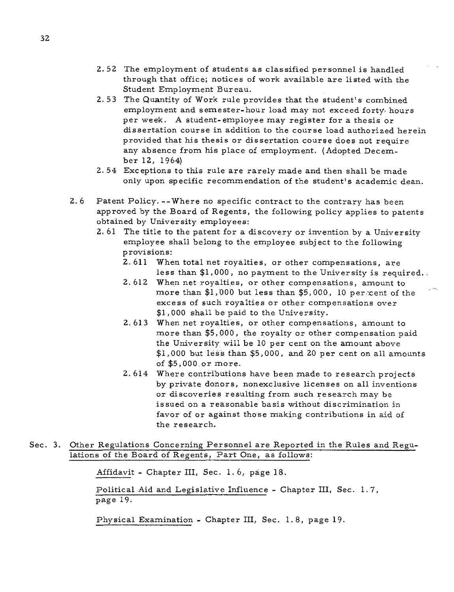- 2.52 The employment of students as classified personnel is handled through that office; notices of work available are listed with the Student Employment Bureau.
- 2.53 The Quantity of Work rule provides that the student's combined employment and semester-hour load may not exceed forty'. hours per week. **A** student-employee may register for a thesis or dissertation course in addition to the course load authorized herein provided that his thesis or dissertation course does not require any absence from his place of employment. (Adopted December 12, 1964)
- 2.54 Exceptions to this rule are rarely made and then shall be made only upon specific recommendation of the student's academic dean.
- 2.6 Patent Policy. --Where no specific contract to the contrary has been approved by the Board of Regents, the following policy applies to patents obtained by University employees:
	- 2. 61 The title to the patent for a discovery or invention by a University employee shall belong to the employee subject to the following provisions:
		- 2. 611 When total net royalties, or other compensations, are less than \$1,000, no payment to the University is required.
		- **2.** 612 When net royalties, or other compensations, amount to more than  $$1,000$  but less than  $$5,000$ , 10 per cent of the excess of such royalties or other compensations over \$1,000 shall be paid to the University.
		- 2.613 When net royalties, or other compensations, amount to more than \$5,000, the royalty or other compensation paid the University will be 10 per cent on the amount above \$1,000 but less than \$5,000, and 20 per cent on all amounts of \$5,000 or more.
		- 2.614 Where contributions have been made to research projects by private donors, nonexclusive licenses on all inventions or discoveries resulting from such research may be issued on a reasonable basis without discrimination in favor of or against those making contributions in aid of the research.
- Sec. **3.** Other Regulations Concerning Personnel are Reported in the Rules and Regulations of the Board of Regents, Part One, as follows: Regulations Concerning Personnel are Rep<br>
s of the Board of Regents, Part One, as fol<br>
Affidavit - Chapter III, Sec. 1.6, page 18.

Political Aid and Legislative Influence - Chapter **111,** Sec. 1.7, page 19.

Physical Examination - Chapter **111,** Sec. 1. 8, page 19.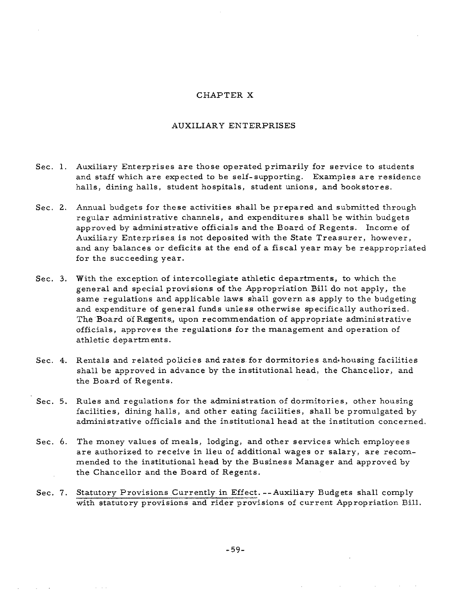### CHAPTER X

#### AUXILIARY ENTERPRISES

- Sec. 1. Auxiliary Enterprises are those operated primarily for service to students and staff which are expected to be self-supporting. Examples are residence halls, dining halls, student hospitals, student unions, and bookstores.
- Sec. 2. Annual budgets for these activities shall be prepared and submitted through regular administrative channels, and expenditures shall be within budgets approved by administrative officials and the Board of Regents. Income of Auxiliary Enterprises is not deposited with the State Treasurer, however, and any balances or deficits at the end of a fiscal year may be reappropriated for the succeeding year.
- Sec. **3.** With the exception of intercollegiate athletic departments, to which the general and special provisions of the Appropriation Bill do not apply, the same regulations and applicable laws shall govern as apply to the budgeting and expenditure of general funds unless otherwise specifically authorized. The Board of Regents, upon recommendation of appropriate administrative officials, approves the regulations for the management and operation of athletic departments.
- Sec. 4. Rentals and related policies and rates for dormitories andehousing facilities shall be approved in advance by the institutional head, the Chancellor, and the Board of Regents.
- Sec. 5. Rules and regulations for the administration of dormitories, other housing facilities, dining halls, and other eating facilities, shall be promulgated by administrative officials and the institutional head at the institution concerned.
- Sec. 6. The money values of meals, lodging, and other services which employees are authorized to receive in lieu of additional wages or salary, are recommended to the institutional head by the Business Manager and approved by the Chancellor and the Board of Regents.
- Sec. 7. Statutory Provisions Currently in Effect. --Auxiliary Budgets shall comply with statutory provisions and rider provisions of current Appropriation Bill.